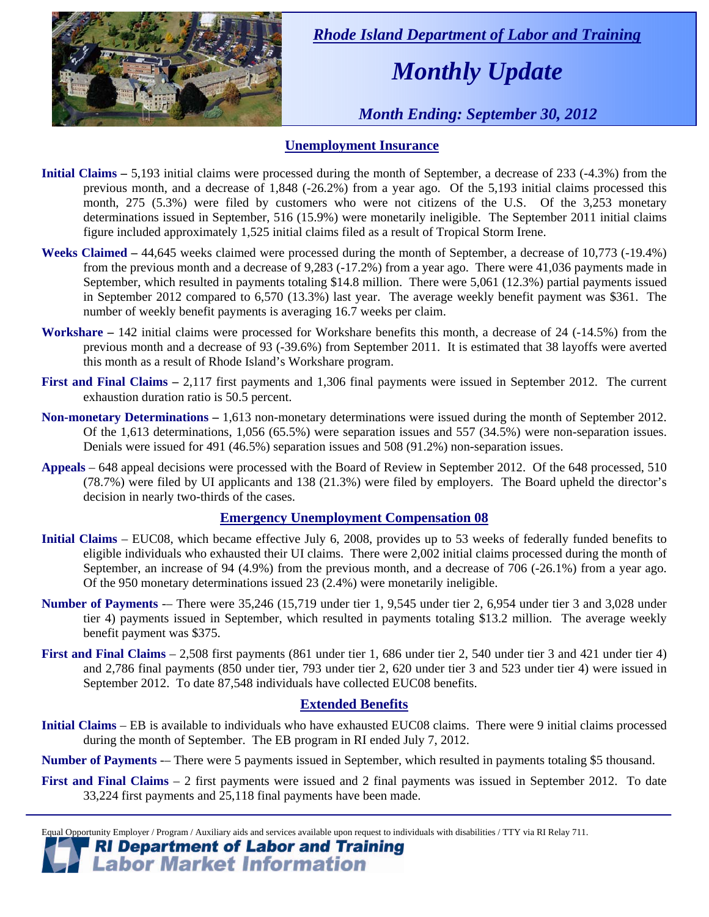

 *Rhode Island Department of Labor and Training* 

# *Monthly Update*

 *Month Ending: September 30, 2012* 

### **Unemployment Insurance**

- **Initial Claims** 5,193 initial claims were processed during the month of September, a decrease of 233 (-4.3%) from the previous month, and a decrease of 1,848 (-26.2%) from a year ago. Of the 5,193 initial claims processed this month, 275 (5.3%) were filed by customers who were not citizens of the U.S. Of the 3,253 monetary determinations issued in September, 516 (15.9%) were monetarily ineligible. The September 2011 initial claims figure included approximately 1,525 initial claims filed as a result of Tropical Storm Irene.
- **Weeks Claimed** 44,645 weeks claimed were processed during the month of September, a decrease of 10,773 (-19.4%) from the previous month and a decrease of 9,283 (-17.2%) from a year ago. There were 41,036 payments made in September, which resulted in payments totaling \$14.8 million. There were 5,061 (12.3%) partial payments issued in September 2012 compared to 6,570 (13.3%) last year. The average weekly benefit payment was \$361. The number of weekly benefit payments is averaging 16.7 weeks per claim.
- **Workshare –** 142 initial claims were processed for Workshare benefits this month, a decrease of 24 (-14.5%) from the previous month and a decrease of 93 (-39.6%) from September 2011. It is estimated that 38 layoffs were averted this month as a result of Rhode Island's Workshare program.
- **First and Final Claims –** 2,117 first payments and 1,306 final payments were issued in September 2012. The current exhaustion duration ratio is 50.5 percent.
- **Non-monetary Determinations –** 1,613 non-monetary determinations were issued during the month of September 2012. Of the 1,613 determinations, 1,056 (65.5%) were separation issues and 557 (34.5%) were non-separation issues. Denials were issued for 491 (46.5%) separation issues and 508 (91.2%) non-separation issues.
- **Appeals** 648 appeal decisions were processed with the Board of Review in September 2012. Of the 648 processed, 510 (78.7%) were filed by UI applicants and 138 (21.3%) were filed by employers. The Board upheld the director's decision in nearly two-thirds of the cases.

### **Emergency Unemployment Compensation 08**

- **Initial Claims**  EUC08, which became effective July 6, 2008, provides up to 53 weeks of federally funded benefits to eligible individuals who exhausted their UI claims. There were 2,002 initial claims processed during the month of September, an increase of 94 (4.9%) from the previous month, and a decrease of 706 (-26.1%) from a year ago. Of the 950 monetary determinations issued 23 (2.4%) were monetarily ineligible.
- **Number of Payments** -– There were 35,246 (15,719 under tier 1, 9,545 under tier 2, 6,954 under tier 3 and 3,028 under tier 4) payments issued in September, which resulted in payments totaling \$13.2 million. The average weekly benefit payment was \$375.
- **First and Final Claims**  2,508 first payments (861 under tier 1, 686 under tier 2, 540 under tier 3 and 421 under tier 4) and 2,786 final payments (850 under tier, 793 under tier 2, 620 under tier 3 and 523 under tier 4) were issued in September 2012. To date 87,548 individuals have collected EUC08 benefits.

### **Extended Benefits**

**Initial Claims** – EB is available to individuals who have exhausted EUC08 claims. There were 9 initial claims processed during the month of September. The EB program in RI ended July 7, 2012.

**Number of Payments** -– There were 5 payments issued in September, which resulted in payments totaling \$5 thousand.

**First and Final Claims** – 2 first payments were issued and 2 final payments was issued in September 2012. To date 33,224 first payments and 25,118 final payments have been made.

Equal Opportunity Employer / Program / Auxiliary aids and services available upon request to individuals with disabilities / TTY via RI Relay 711.

**RI Department of Labor and Training<br>Labor Market Information**